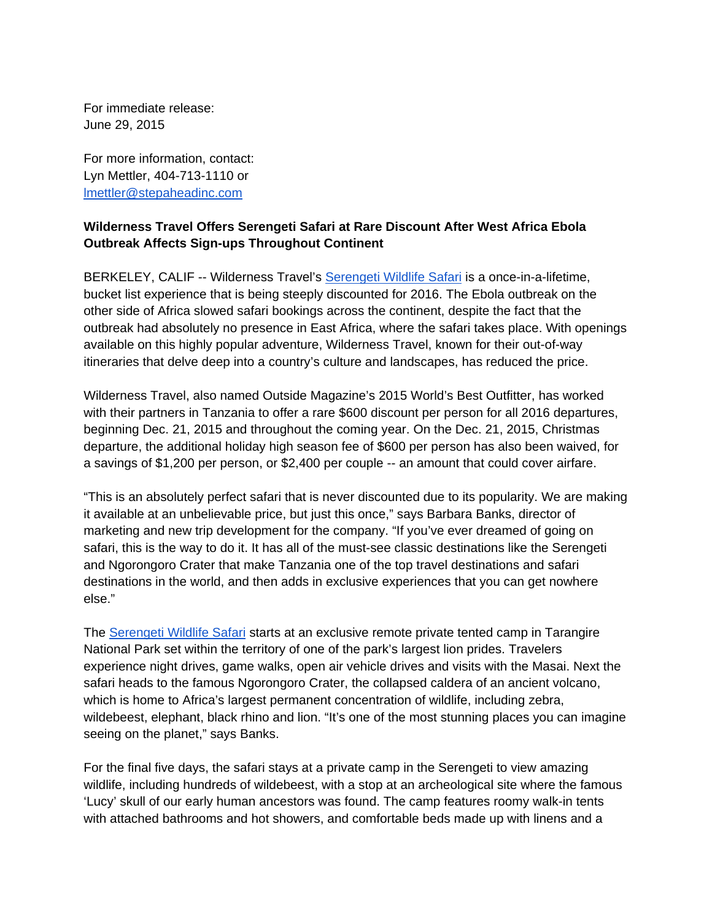For immediate release: June 29, 2015

For more information, contact: Lyn Mettler, 404-713-1110 or lmettler@stepaheadinc.com

## **Wilderness Travel Offers Serengeti Safari at Rare Discount After West Africa Ebola Outbreak Affects Sign-ups Throughout Continent**

BERKELEY, CALIF -- Wilderness Travel's Serengeti Wildlife Safari is a once-in-a-lifetime, bucket list experience that is being steeply discounted for 2016. The Ebola outbreak on the other side of Africa slowed safari bookings across the continent, despite the fact that the outbreak had absolutely no presence in East Africa, where the safari takes place. With openings available on this highly popular adventure, Wilderness Travel, known for their out-of-way itineraries that delve deep into a country's culture and landscapes, has reduced the price.

Wilderness Travel, also named Outside Magazine's 2015 World's Best Outfitter, has worked with their partners in Tanzania to offer a rare \$600 discount per person for all 2016 departures, beginning Dec. 21, 2015 and throughout the coming year. On the Dec. 21, 2015, Christmas departure, the additional holiday high season fee of \$600 per person has also been waived, for a savings of \$1,200 per person, or \$2,400 per couple -- an amount that could cover airfare.

"This is an absolutely perfect safari that is never discounted due to its popularity. We are making it available at an unbelievable price, but just this once," says Barbara Banks, director of marketing and new trip development for the company. "If you've ever dreamed of going on safari, this is the way to do it. It has all of the must-see classic destinations like the Serengeti and Ngorongoro Crater that make Tanzania one of the top travel destinations and safari destinations in the world, and then adds in exclusive experiences that you can get nowhere else."

The Serengeti Wildlife Safari starts at an exclusive remote private tented camp in Tarangire National Park set within the territory of one of the park's largest lion prides. Travelers experience night drives, game walks, open air vehicle drives and visits with the Masai. Next the safari heads to the famous Ngorongoro Crater, the collapsed caldera of an ancient volcano, which is home to Africa's largest permanent concentration of wildlife, including zebra, wildebeest, elephant, black rhino and lion. "It's one of the most stunning places you can imagine seeing on the planet," says Banks.

For the final five days, the safari stays at a private camp in the Serengeti to view amazing wildlife, including hundreds of wildebeest, with a stop at an archeological site where the famous 'Lucy' skull of our early human ancestors was found. The camp features roomy walk-in tents with attached bathrooms and hot showers, and comfortable beds made up with linens and a